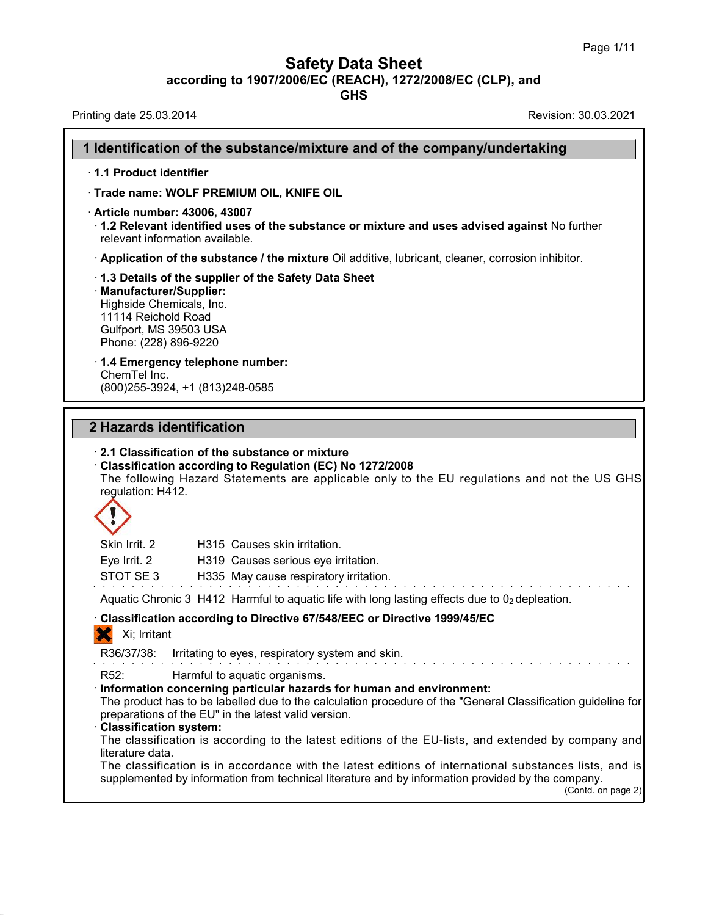**Safety Data Sheet**<br> **according to 1907/2006/EC (REACH), 1272/2008/EC (CLP), and**<br> **GHS** 

| <b>Safety Data Sheet</b><br>according to 1907/2006/EC (REACH), 1272/2008/EC (CLP), and<br><b>GHS</b>                                                                                                                                                                                                                                  | Page 1/11          |
|---------------------------------------------------------------------------------------------------------------------------------------------------------------------------------------------------------------------------------------------------------------------------------------------------------------------------------------|--------------------|
| Revision: 30.03.2021<br>Printing date 25.03.2014                                                                                                                                                                                                                                                                                      |                    |
| 1 Identification of the substance/mixture and of the company/undertaking                                                                                                                                                                                                                                                              |                    |
| 1.1 Product identifier                                                                                                                                                                                                                                                                                                                |                    |
| Trade name: WOLF PREMIUM OIL, KNIFE OIL                                                                                                                                                                                                                                                                                               |                    |
| · Article number: 43006, 43007<br>1.2 Relevant identified uses of the substance or mixture and uses advised against No further<br>relevant information available.                                                                                                                                                                     |                    |
| Application of the substance / the mixture Oil additive, lubricant, cleaner, corrosion inhibitor.                                                                                                                                                                                                                                     |                    |
| 1.3 Details of the supplier of the Safety Data Sheet<br>· Manufacturer/Supplier:<br>Highside Chemicals, Inc.<br>11114 Reichold Road<br>Gulfport, MS 39503 USA<br>Phone: (228) 896-9220                                                                                                                                                |                    |
| 1.4 Emergency telephone number:<br>ChemTel Inc.<br>(800) 255-3924, +1 (813) 248-0585                                                                                                                                                                                                                                                  |                    |
| 2 Hazards identification                                                                                                                                                                                                                                                                                                              |                    |
| 2.1 Classification of the substance or mixture<br>Classification according to Regulation (EC) No 1272/2008<br>The following Hazard Statements are applicable only to the EU regulations and not the US GHS<br>regulation: H412.                                                                                                       |                    |
|                                                                                                                                                                                                                                                                                                                                       |                    |
| Skin Irrit. 2<br>H315 Causes skin irritation.                                                                                                                                                                                                                                                                                         |                    |
| Eye Irrit. 2<br>H319 Causes serious eye irritation.                                                                                                                                                                                                                                                                                   |                    |
| STOT SE3<br>H335 May cause respiratory irritation.                                                                                                                                                                                                                                                                                    |                    |
| Aquatic Chronic 3 H412 Harmful to aquatic life with long lasting effects due to $02$ depleation.                                                                                                                                                                                                                                      |                    |
| Classification according to Directive 67/548/EEC or Directive 1999/45/EC                                                                                                                                                                                                                                                              |                    |
| Xi; Irritant                                                                                                                                                                                                                                                                                                                          |                    |
| R36/37/38:<br>Irritating to eyes, respiratory system and skin.                                                                                                                                                                                                                                                                        |                    |
| R <sub>52</sub> :<br>Harmful to aquatic organisms.<br>· Information concerning particular hazards for human and environment:<br>The product has to be labelled due to the calculation procedure of the "General Classification guideline for<br>preparations of the EU" in the latest valid version.<br><b>Classification system:</b> |                    |
| The classification is according to the latest editions of the EU-lists, and extended by company and<br>literature data.<br>The classification is in accordance with the latest editions of international substances lists, and is                                                                                                     |                    |
| supplemented by information from technical literature and by information provided by the company.                                                                                                                                                                                                                                     | (Contd. on page 2) |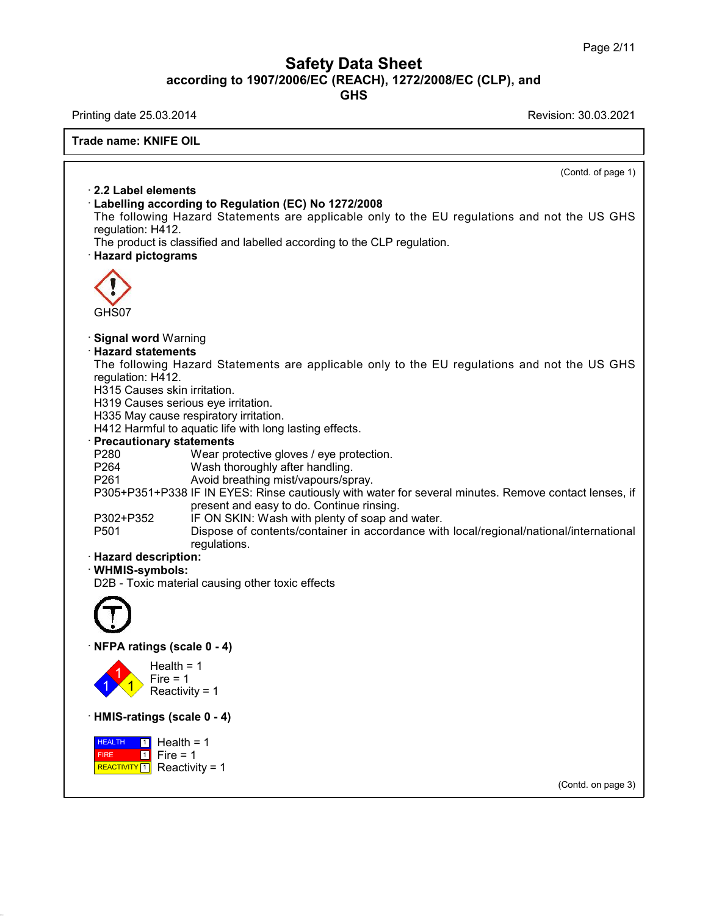# Safety Data Sheet<br><sub>006/EC (REACH), 1272/2008/EC (CLP),<br>GHS</sub> Page 2/11<br>**according to 1907/2006/EC (REACH), 1272/2008/EC (CLP), and<br>GHS<br>Revision: 30.03.2021 Safety Data Sheet**<br>
according to 1907/2006/EC (REACH), 1272/2008/EC (CLP), and<br>
Printing date 25.03.2014<br>
Revision: 30.03.2021<br>
Revision: 30.03.2021

**GHS**

38.0.16

**Trade name: KNIFE OIL**  $\overline{\text{Contd. of page 1}}$ **Example 12 Example 2014**<br> **Example 2.2 Label elements<br>
• Labelling according to Reg<br>
The following Hazard State Example: EXNIFE OIL**<br> **Example: Label elements**<br> **Exabelling according to Regulation (EC) No 1272/2008**<br>
The following Hazard Statements are applicable only to the requlation: H412. 2.2 Label elements<br>
Labelling according to Regulation (EC) No 1272/2008<br>
The following Hazard Statements are applicable only to the EU regulations and not the US GHS<br>
regulation: H412.<br>
The product is classified and labell 2.2 Label elements<br>Labelling according to Regu<br>The following Hazard State<br>regulation: H412.<br>The product is classified and l The following to Regulation (EC) No 1272/2008<br>The following Hazard Statements are applicable only to the EU regulat<br>regulation: H412.<br>The product is classified and labelled according to the CLP regulation.<br>**· Hazard pictog** GHS07 **• Signal word Warning<br>• Signal word Warning<br>• Hazard statements<br>• The following Hazard Statem CHS07**<br> **Signal word Warning<br>
<b>Hazard statements**<br>
The following Hazard State<br>
requlation: H412. GHS07<br>Signal word Warning<br>Hazard statements<br>The following Hazard Statements are applicable only to the EU regulations and not the US GHS<br>regulation: H412.<br>H315 Causes skin irritation GHS07<br>**Signal word** Warning<br>**Hazard statements**<br>The following Hazard State<br>regulation: H412.<br>H315 Causes skin irritation.<br>H319 Causes serious eve irrita Signal word Warning<br>Hazard statements<br>The following Hazard Statements a<br>regulation: H412.<br>H315 Causes skin irritation.<br>H335 May cause respiratory irritation. **Signal word** Warning<br>**Hazard statements**<br>The following Hazard Statements are app<br>regulation: H412.<br>H315 Causes serious eye irritation.<br>H335 May cause respiratory irritation.<br>H412 Harmful to aquatic life with long lasting. **Hazard statements**<br>The following Hazard Statements are applic<br>regulation: H412.<br>H315 Causes skin irritation.<br>H319 Causes serious eye irritation.<br>H335 May cause respiratory irritation.<br>H412 Harmful to aquatic life with lon The following Hazard Statements are applicable only to th<br>regulation: H412.<br>H315 Causes skin irritation.<br>H319 Causes serious eye irritation.<br>H335 May cause respiratory irritation.<br>H412 Harmful to aquatic life with long las H315 Causes skin irritation.<br>
H319 Causes serious eye irritation.<br>
H335 May cause respiratory irritation.<br>
H412 Harmful to aquatic life with long lasting effects.<br> **Precautionary statements**<br>
P280 Wear protective gloves / H319 Causes serious eye irritation.<br>
H335 May cause respiratory irritation.<br>
H412 Harmful to aquatic life with long lasting effects.<br> **Precautionary statements**<br>
P260 Wear protective gloves / eye protection.<br>
P264 Wash tho H335 May cause respiratory irritation.<br>
H412 Harmful to aquatic life with long lasting effects.<br> **Precautionary statements**<br>
P260 Wear protective gloves / eye protection.<br>
P264 Wash thoroughly after handling.<br>
P261 Avoid b Partian Continue in the Matthew of Soan and water<br>
Payabota The Continue and the Wear protective gloves / eye protection.<br>
P264 Wash thoroughly after handling.<br>
P261 Avoid breathing mist/vapours/spray.<br>
P305+P351+P338 IF I tements<br>Wear protective gloves / eye protection.<br>Wash thoroughly after handling.<br>Avoid breathing mist/vapours/spray.<br>IF IN EYES: Rinse cautiously with water for several r<br>present and easy to do. Continue rinsing.<br>IF ON SKI P280 Wear protective gloves / eye protection.<br>
P264 Wash thoroughly after handling.<br>
P305+P351+P338 IF IN EYES: Rinse cautiously with water for several minutes. F<br>
present and easy to do. Continue rinsing.<br>
P302+P352 IF ON P264 Wash thoroughly after handling.<br>
P261 Avoid breathing mist/vapours/spray.<br>
P305+P351+P338 IF IN EYES: Rinse cautiously with water for several minutes. Remove contact lenses, if<br>
present and easy to do. Continue rinsin regulations. P303+P351+P338 IF IN E1<br>present<br>P302+P352 IF ON S<br>P501 Dispose<br>regulation:<br>**Hazard description:**<br>WHMIS-symbols:<br>D2B - Toxic material causin · **WHMIS-symbols:** P302+P352 IF ON SKIN: Wash with plenty of soap and<br>P501 Dispose of contents/container in accord<br>regulations.<br>**Hazard description:**<br>WHMIS-symbols:<br>D2B - Toxic material causing other toxic effects D2B - Toxic material causing other toxic efference of the Material Causing other toxic efference of the Material Street of Texas (scale 0 - 4)  $\left| \frac{1}{1} \right\rangle$  Reactivi Health =  $1$ <br>Fire =  $1$ **igs (scale 0 - 4)**<br>Health = 1<br>Fire = 1<br>Reactivity = 1 **igs (scale 0 - 4)**<br>Health = 1<br>Fire = 1<br>Reactivity = 1 ngs (scale 0 - 4)<br>Health = 1<br>Fire = 1<br>Reactivity = 1<br>ngs (scale 0 - 4) Health = 1<br>
Fire = 1<br>
Reactivity = 1<br>
HMIS-ratings (scale 0 - 4)<br>
HEALTH 1 Health = 1 **HEALTH** 1 Hea FIRE REACTIVITY  $1$  Reactivity = 1  $1$  Fire = 1 Fire = 1<br>
Reactivity = 1<br> **ings (scale 0 - 4)**<br> **1**<br>
Fire = 1<br> **1**<br>
Reactivity = 1 teactivity = 1<br>**Is (scale 0 - 4)**<br>Health = 1<br>Fire = 1<br>Reactivity = 1 **s (scale 0 - 4)**<br>Health = 1<br>Fire = 1<br>Reactivity = 1 (Contd. on page 3)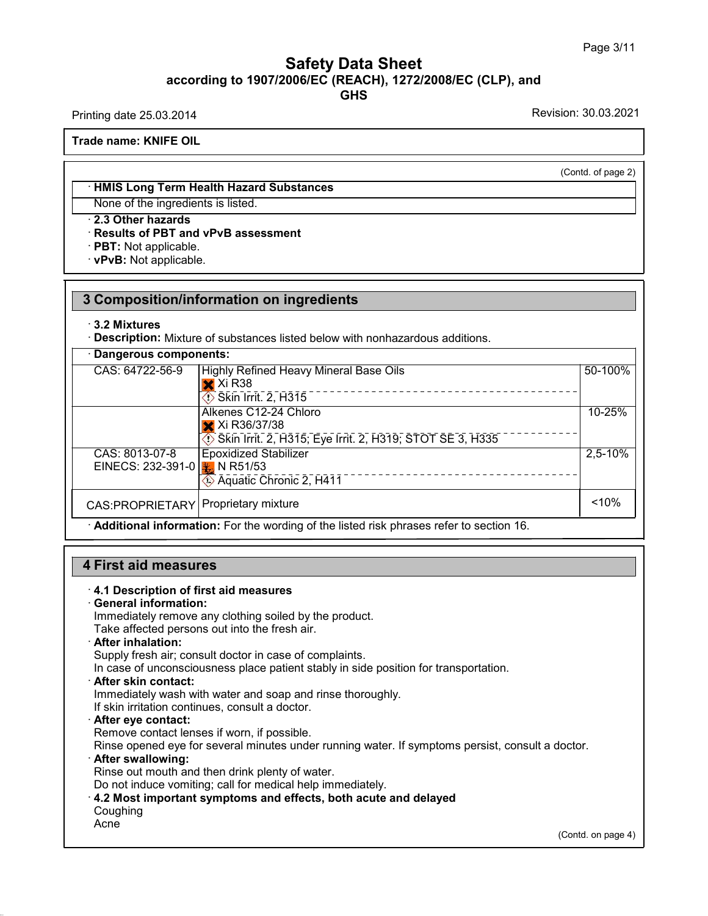## Safety Data Sheet<br><sub>006/EC (REACH), 1272/2008/EC (CLP),<br>GHS</sub> Page 3/11<br>**according to 1907/2006/EC (REACH), 1272/2008/EC (CLP), and<br>GHS<br>Revision: 30.03.2021 GHS Safety Data Sheet**<br>according to 1907/2006/EC (REACH), 1272/2008/EC (CLP), and<br>Printing date 25.03.2014<br>Revision: 30.03.2021<br>Trade name: KNIFE OIL

**Trade name: KNIFE OIL**

(Contd. of page 2)

## **Example 12 A WHIFE OIL**<br>
• **HMIS Long Term Health Hazard Substances**<br>
None of the ingredients is listed. None: KNIFE OIL<br>
→ HMIS Long Term Health Hazard Substance<br>
None of the ingredients is listed.<br>
→ 2.3 Other hazards<br>
→ Results of PBT and vPvB assessment<br>
→ PBT: Not applicable. **EXAMIS Long Term Health Hazard Substances**<br>None of the ingredients is listed.<br>**2.3 Other hazards<br>Results of PBT and vPvB assessment**<br>PBT: Not applicable.<br>PRT: Not applicable. • **HMIS Long Term Health Haz**<br>None of the ingredients is liste<br>• **2.3 Other hazards**<br>• **Results of PBT and vPvB as**<br>• **PBT**: Not applicable.<br>• **vPvB**: Not applicable.

|                                                            | 3 Composition/information on ingredients                                                                                               |             |
|------------------------------------------------------------|----------------------------------------------------------------------------------------------------------------------------------------|-------------|
| $\cdot$ 3.2 Mixtures                                       | Description: Mixture of substances listed below with nonhazardous additions.                                                           |             |
| Dangerous components:                                      |                                                                                                                                        |             |
| CAS: 64722-56-9                                            | <b>Highly Refined Heavy Mineral Base Oils</b><br>$\mathsf{\times}$ Xi R38<br>$\overline{\textcircled{\textbf{1}}}$ Skin Irrit. 2, H315 | 50-100%     |
|                                                            | Alkenes C12-24 Chloro<br>X Xi R36/37/38<br>Skin Irrit. 2, H315; Eye Irrit. 2, H319; STOT SE 3, H335                                    | 10-25%      |
| CAS: 8013-07-8<br>EINECS: 232-391-0 $\frac{1}{2}$ N R51/53 | <b>Epoxidized Stabilizer</b><br>Aquatic Chronic 2, H411                                                                                | $2,5 - 10%$ |
| CAS:PROPRIETARY   Proprietary mixture                      |                                                                                                                                        | $~10\%$     |
|                                                            | Additional information: For the wording of the listed risk phrases refer to section 16.                                                |             |

• **Additional information:** For the wording of the listed risk phrases refer to section 16.<br> **4.1 Description of first aid measures**<br>
• **4.1 Description of first aid measures**<br>
• **General information:**<br>
Immediately remove

**4.1 Description of first aid measures<br>
General information:**<br>
Immediately remove any clothing soiled by the<br>
Take affected persons out into the fresh air. First aid measures<br>4.1 Description of first aid measures<br>General information:<br>Immediately remove any clothing soiled by the product.<br>Take affected persons out into the fresh air.<br>After inhalation: **First aid measures**<br> **A.1 Description of first aid measures**<br> **Ceneral information:**<br>
Immediately remove any clothing soiled by the product.<br>
Take affected persons out into the fresh air.<br> **After inhalation:**<br>
Supply fres

4.1 Description of first aid measures<br>General information:<br>Immediately remove any clothing soiled by the product.<br>Take affected persons out into the fresh air.<br>After inhalation:<br>Supply fresh air; consult doctor in case of **In case of unconsciousness place by the product.**<br>
Take affected persons out into the fresh air.<br> **After inhalation:**<br>
Supply fresh air; consult doctor in case of complaints.<br>
In case of unconsciousness place patient stab Take affected persons out into the fresh air.<br> **After inhalation:**<br>
Supply fresh air; consult doctor in case of complaints.<br>
In case of unconsciousness place patient stably in side position for the<br> **After skin contact:**<br>

If Supply fresh air; consult doctor in case of complaints.<br>In case of unconsciousness place patient stably in side<br>**After skin contact:**<br>Immediately wash with water and soap and rinse thorour<br>If skin irritation continues, In case of unconsciousness place patient stably in sidentler skin contact:<br>
Immediately wash with water and soap and rinse thol<br>
If skin irritation continues, consult a doctor.<br> **After eye contact:**<br>
Remove contact lenses

Refler skin contact:<br>
Immediately wash with water and soap and rinse thoroughly.<br>
If skin irritation continues, consult a doctor.<br> **After eye contact:**<br>
Remove contact lenses if worn, if possible.<br>
Rinse opened eye for sev If skin irritation continues, consult a doctor.<br> **After eye contact:**<br>
Remove contact lenses if worn, if possible.<br>
Rinse opened eye for several minutes under running water.<br> **After swallowing:**<br>
Rinse out mouth and then d Or After eye contact:<br>
Rimove contact lenses if worn, if possible.<br>
Rinse opened eye for several minutes under running water. If symptoms persist, c<br> **After swallowing:**<br>
Rinse out mouth and then drink plenty of water.<br>
Do

Coughing

Acne

38.0.16

(Contd. on page 4)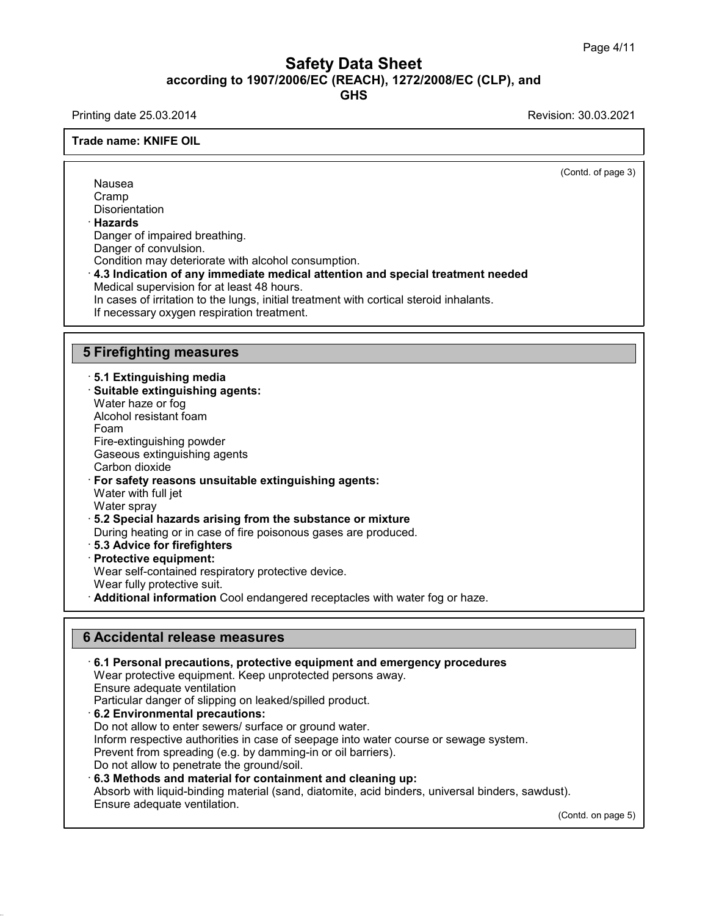## Safety Data Sheet<br><sub>006/EC (REACH), 1272/2008/EC (CLP),<br>GHS</sub> Page 4/11<br>**according to 1907/2006/EC (REACH), 1272/2008/EC (CLP), and<br>GHS<br>Revision: 30.03.2021 GHS Safety Data Sheet**<br>
according to 1907/2006/EC (REACH), 1272/2008/EC (CLP), and<br>
Printing date 25.03.2014<br>
Revision: 30.03.2021<br>
Revision: 30.03.2021

**Trade name: KNIFE OIL**

 $\overline{\text{(Cond. of page 3)}}$ Nausea Cramp **Disorientation** · **Hazards** Nausea<br>Cramp<br>Disorientation<br>**Hazards**<br>Danger of impaired breathing.<br>Danger of convulsion.<br>Condition may deteriorate with alcohol. Danger of impaired breathing.<br>Danger of convulsion. Cramp<br> **Condition may deteriorate with alcohol consumption.**<br> **Condition may deteriorate with alcohol consumption.**<br> **4.3 Indication of any immediate medical attention and special treatment needed**<br> **Medical supervision fo** Hazards<br>Danger of impaired breathing.<br>Danger of convulsion.<br>Condition may deteriorate with alcohol consumption.<br>4.3 Indication of any immediate medical attention<br>Medical supervision for at least 48 hours.<br>In cases of irrit Danger of impaired breathing.<br>Danger of convulsion.<br>Condition may deteriorate with alcohol consumption.<br>**4.3 Indication of any immediate medical attention and special treatment needed**<br>Medical supervision for at least 48 h Condition may deteriorate with alcohol consumption.<br>4.3 Indication of any immediate medical attention and special treatment n<br>Medical supervision for at least 48 hours.<br>In cases of irritation to the lungs, initial treatmen 4.3 Indication of any Immediate medi-<br>
Medical supervision for at least 48 hours<br>
In cases of irritation to the lungs, initial t<br>
If necessary oxygen respiration treatme<br>
5 Firefighting measures<br>
5.1 Extinguishing media **Firefighting measures**<br> **5.1 Extinguishing media**<br>
• Suitable extinguishing agents:<br>
™Mater haze or foo **Firefighting measures<br>· 5.1 Extinguishing media<br>· Suitable extinguishing agents:<br>Water haze or fog<br>Alcohol resistant foam** Firefighting measures<br>5.1 Extinguishing media<br>Suitable extinguishing agents:<br>Water haze or fog<br>Alcohol resistant foam Firefighting measures<br>5.1 Extinguishing media<br>Suitable extinguishing agents:<br>Water haze or fog<br>Alcohol resistant foam<br>Foam<br>Fire-extinguishing powder Foam **5.1 Extinguishing media<br>Suitable extinguishing agents:**<br>Water haze or fog<br>Alcohol resistant foam<br>Foam<br>Fire-extinguishing powder<br>Gaseous extinguishing agents<br>Carbon dioxide **Suitable extinguishing agents:**<br>Water haze or fog<br>Alcohol resistant foam<br>Foam<br>Fire-extinguishing powder<br>Gaseous extinguishing agents<br>Carbon dioxide<br>**For safety reasons unsuitable extinguis** Water haze or fog<br>Alcohol resistant foam<br>Foam<br>Fire-extinguishing powder<br>Gaseous extinguishing age<br>Carbon dioxide<br>**For safety reasons unsui**<br>Water with full jet Alconol resistant roam<br>
Foam<br>
Fire-extinguishing powder<br>
Gaseous extinguishing agents<br>
Carbon dioxide<br> **For safety reasons unsuitable extinguishing agents:**<br>
Water with full jet<br>
Water sprav Foam<br>Fire-extinguishing powder<br>Gaseous extinguishing agents<br>Carbon dioxide<br>**For safety reasons unsuitable e**<br>Water with full jet<br>Water spray<br>5.2 Special bazards arising from Fire-extinguishing powder<br>Gaseous extinguishing ag<br>Carbon dioxide<br>**For safety reasons unsu**<br>Water with full jet<br>Water spray<br>**5.2 Special hazards aris**<br>During beating or in case Gaseous extinguishing agents<br>
Carbon dioxide<br> **For safety reasons unsuitable extinguishing agents:**<br>
Water with full jet<br>
Water spray<br> **5.2 Special hazards arising from the substance or mixture**<br>
During heating or in case Carbon dioxide<br>
For safety reasons unsuitable extinguishing agents:<br>
Water with full jet<br>
Water spray<br> **5.2 Special hazards arising from the substance or mixture**<br>
During heating or in case of fire poisonous gases are prod Water with full jet<br>
Water spray<br> **5.2 Special hazards arising from the substance or mixture**<br>
During heating or in case of fire poisonous gases are produced<br> **5.3 Advice for firefighters**<br> **Protective equipment:**<br>
Wear se Water spray<br>**5.2 Special hazards arising from the substance or mixture**<br>During heating or in case of fire poisonous gases are produce<br>**5.3 Advice for firefighters**<br>**Protective equipment:**<br>Wear self-contained respiratory pr **Branch Fully protective suiters of the substance or mixture**<br> **Branch Cool Exercise** State for firefighters<br> **Protective equipment:**<br>
Wear self-contained respiratory protective device.<br>
Wear fully protective suit.<br> **Addit** Frotective equipment:<br>
Wear self-contained respiratory protective device<br>
Wear fully protective suit.<br> **Additional information** Cool endangered recept<br> **6 Accidental release measures**<br>
6.1 Personal precautions, protective • **Additional Information** Cool endangered receptacies with water fog or haze.<br> **• Accidental release measures**<br>
• **6.1 Personal precautions, protective equipment and emergency procedures**<br>
Wear protective equipment. Keep **Accidental release measures<br>6.1 Personal precautions, protective equipment and emergency proce**<br>Wear protective equipment. Keep unprotected persons away.<br>Ensure adequate ventilation<br>Particular danger of slipping on leaked Accidental release measures<br>6.1 Personal precautions, protective<br>Wear protective equipment. Keep un<br>Ensure adequate ventilation<br>Particular danger of slipping on leake **Example 19 Accidental release measures**<br> **EXECT: CAT Personal precautions, protective equipment and emerger**<br>
Wear protective equipment. Keep unprotected persons away.<br>
Ensure adequate ventilation<br>
Particular danger of **6.1 Personal precautions, protective equipment and emergenc**<br>Wear protective equipment. Keep unprotected persons away.<br>Ensure adequate ventilation<br>Particular danger of slipping on leaked/spilled product.<br>**6.2 Environmenta** Wear protective equipment. Keep unprotected persons away.<br>Ensure adequate ventilation<br>Particular danger of slipping on leaked/spilled product.<br>**6.2 Environmental precautions:**<br>Do not allow to enter sewers/ surface or groun

38.0.16

Ensure adequate ventilation<br>Particular danger of slipping on leaked/spilled product.<br>6.2 Environmental precautions:<br>Do not allow to enter sewers/ surface or ground water.<br>Inform respective authorities in case of seepage in

Prevent from spreading (e.g. by damming-in or oil barriers).

Particular danger of slipping on leaked/spilled product.<br> **6.2 Environmental precautions:**<br>
Do not allow to enter sewers/ surface or ground water.<br>
Inform respective authorities in case of seepage into water course or sewa Do not allow to enter sewers/ surface or ground water.<br>
Inform respective authorities in case of seepage into water course or sewage system.<br>
Prevent from spreading (e.g. by damming-in or oil barriers).<br>
Do not allow to p

 $(t)$ .<br>(Contd. on page 5)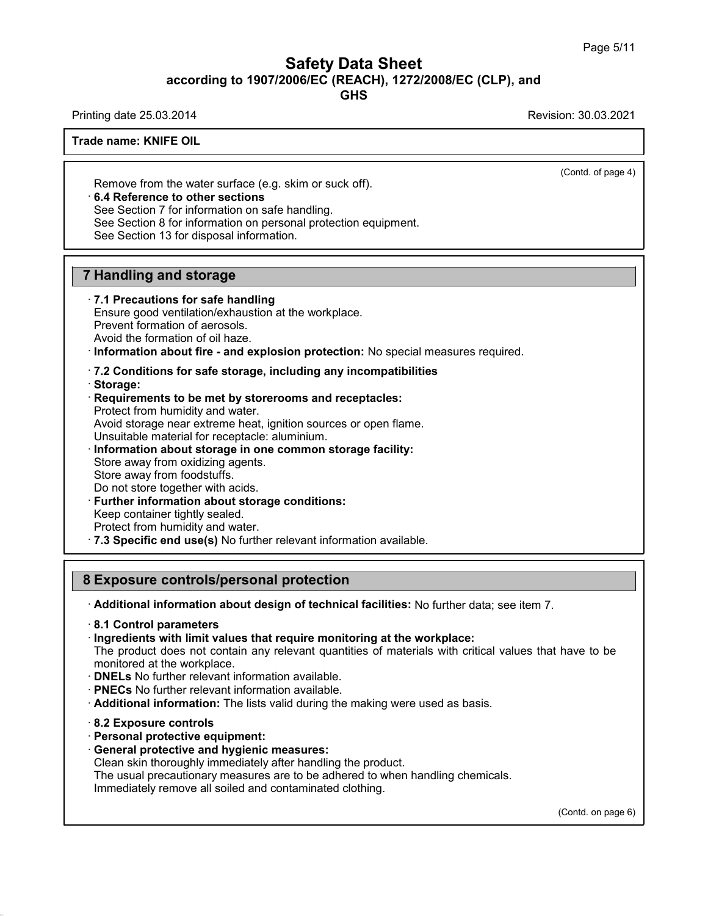# Safety Data Sheet<br><sub>006/EC (REACH), 1272/2008/EC (CLP),<br>GHS</sub> Page 5/11<br>**according to 1907/2006/EC (REACH), 1272/2008/EC (CLP), and<br>GHS<br>Revision: 30.03.2021 Safety Data Sheet**<br>
according to 1907/2006/EC (REACH), 1272/2008/EC (CLP), and<br>
Printing date 25.03.2014<br>
Revision: 30.03.2021<br>
Revision: 30.03.2021

**GHS**

 $\overline{\text{(Cond. of page 4)}}$ 

## **Trade name: KNIFE OIL**

Remove from the water surface (e.g. skim or suck off).<br> **Remove from the water surface (e.g. skim or suck off).**<br> **• 6.4 Reference to other sections**<br>
See Section 7 for information on safe handling.<br>
See Section 8 for info Frame. NNIFE OIL<br>
See Netter Section 7 for information on safe handling.<br>
See Section 7 for information on safe handling.<br>
See Section 8 for information on personal protection equines Remove from the water surface (e.g. skim or so<br>
6.4 Reference to other sections<br>
See Section 7 for information on safe handling.<br>
See Section 8 for information on personal prote<br>
See Section 13 for disposal information.

**6.4 Reference to other sections**<br>See Section 7 for information on safe handling.<br>See Section 8 for information on personal protection equipment.<br>See Section 13 for disposal information. **6.4 Reference to other sections**<br>
See Section 7 for information on safe has<br>
See Section 8 for information on personal<br>
See Section 13 for disposal information.<br> **7 Handling and storage**<br> **7.1 Precautions for safe handlin** 

See Section 13 for disposal information.<br> **7.1 Precautions for safe handling**<br> **7.1 Precautions for safe handling**<br>
Ensure good ventilation/exhaustion at the wor<br>
Prevent formation of aerosols. **Handling and storage<br>T.1 Precautions for safe handling<br>Ensure good ventilation/exhaustion at the workplace.<br>Prevent formation of aerosols.<br>Avoid the formation of oil haze. Handling and storage**<br> **7.1 Precautions for safe handling**<br>
Ensure good ventilation/exhaustion at th<br>
Prevent formation of aerosols.<br>
Avoid the formation of oil haze.<br>
Information about fire - and explosion

**Provided the formation of oil haze.**<br> **Provent formation of aerosols.**<br> **Prevent formation of aerosols.**<br> **Avoid the formation of oil haze.**<br> **Provent formation about fire - and explosion protection:** No special measures

# Avoid the formation of oil haze.<br> **Consider information about fire - and explosion protection:** No special m<br> **Requirements to be met by storerooms and receptacles:**<br> **Requirements to be met by storerooms and receptacles:**

- 
- · **Storage:**

Information about fire - and explosion prot<br>7.2 Conditions for safe storage, including<br>Storage:<br>Requirements to be met by storerooms an<br>Protect from humidity and water.<br>Avoid storage near extreme heat, ignition sou T.2 Conditions for safe storage, including any incompatibilities<br>Storage:<br>Requirements to be met by storerooms and receptacles:<br>Protect from humidity and water.<br>Avoid storage near extreme heat, ignition sources or open fla T.2 Conditions for safe storage, including any incompatibilities<br>
Storage:<br>
Protect from humidity and water.<br>
Protect from humidity and water.<br>
Avoid storage near extreme heat, ignition sources or open flame.<br>
Unsuitable m Requirements to be met by storerooms an<br>Protect from humidity and water.<br>Avoid storage near extreme heat, ignition sou<br>Unsuitable material for receptacle: aluminium<br>Information about storage in one common<br>Store away from o Protect from humidity and water.<br>Avoid storage near extreme heat, ig<br>Unsuitable material for receptacle: a<br>**Information about storage in one**<br>Store away from oxidizing agents.<br>Store away from foodstuffs.<br>Do not store toget Avoid storage near extreme heat, ignition sources or ope<br>Unsuitable material for receptacle: aluminium.<br> **Information about storage in one common storage f**<br>
Store away from oxidizing agents.<br>
Store away from foodstuffs.<br>

- 
- 
- 

- 
- 

Information about storage in one common storage facility:<br>
Store away from oxidizing agents.<br>
Store away from foodstuffs.<br>
Do not store together with acids.<br>
Further information about storage conditions:<br>
Keep container ti Store away from oxidizing agents.<br>
Store away from foodstuffs.<br>
Do not store together with acids.<br> **Further information about storage conditions:**<br>
Keep container tightly sealed.<br>
Protect from humidity and water.<br> **7.3 Spe** 

• **Further information about storage conditions:**<br>
Keep container tightly sealed.<br> **Protect from humidity and water.**<br> **7.3 Specific end use(s)** No further relevant information available.<br> **8 Exposure controls/personal pr** 

· **8.1 Control parameters**

· **Ingredients with limit values that require monitoring at the workplace:**

The product does not contain any relevant quantities of materials with critical values that have to be monitored at the workplace.

- · **DNELs** No further relevant information available.
- · **PNECs** No further relevant information available.
- · **Additional information:** The lists valid during the making were used as basis.
- · **8.2 Exposure controls**

38.0.16

- · **Personal protective equipment:**
- · **General protective and hygienic measures:**

Clean skin thoroughly immediately after handling the product.

The usual precautionary measures are to be adhered to when handling chemicals.

Immediately remove all soiled and contaminated clothing.

(Contd. on page 6)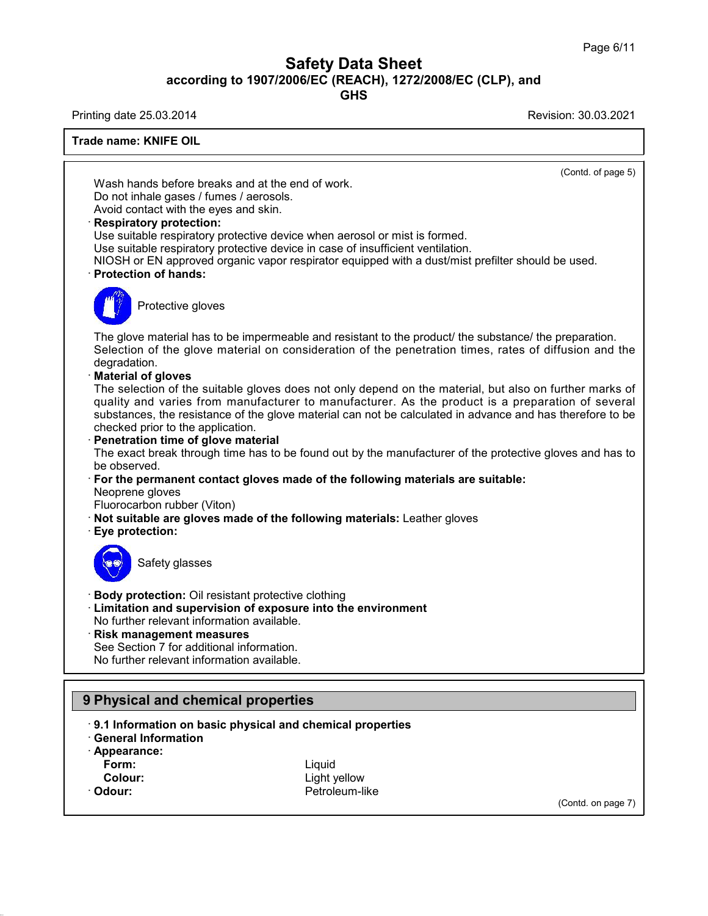# Safety Data Sheet<br><sub>006/EC (REACH), 1272/2008/EC (CLP),<br>GHS</sub> Page 6/11<br>**according to 1907/2006/EC (REACH), 1272/2008/EC (CLP), and<br>GHS<br>Revision: 30.03.2021 Safety Data Sheet**<br>
according to 1907/2006/EC (REACH), 1272/2008/EC (CLP), and<br>
Printing date 25.03.2014<br>
Revision: 30.03.2021<br>
Revision: 30.03.2021

**GHS**

**Trade name: KNIFE OIL**  $\overline{\text{(Cond. of page 5)}}$ Ing date 23.03.2014<br> **Mash hands before breaks and at the end of work.**<br>
Do not inhale gases / fumes / aerosols.<br>
Avoid contact with the eves and skin Wash hands before breaks and at the end of work.<br>Do not inhale gases / fumes / aerosols.<br>Avoid contact with the eyes and skin.<br>Respiratory protection: Wash hands before breaks and at the end of work.<br>Do not inhale gases / fumes / aerosols.<br>Avoid contact with the eyes and skin.<br>**· Respiratory protection:**<br>Use suitable respiratory protective device when aer<br>Use suitable re Wash hands before breaks and at the end of work.<br>Do not inhale gases / fumes / aerosols.<br>Avoid contact with the eyes and skin.<br>**Respiratory protection:**<br>Use suitable respiratory protective device when aerosol or mist is fo Use suitable respiratory protective device when aerosol or mist is formed.<br>Use suitable respiratory protective device in case of insufficient ventilation.<br>NIOSH or EN approved organic vapor respirator equipped with a dust/ Do not inhale gases / fumes / aerosols.<br>
Avoid contact with the eyes and skin.<br> **Respiratory protection:**<br>
Use suitable respiratory protective device when aerosol or mist is formed.<br>
Use suitable respiratory protective dev Solid Tespiratory protective developeration protective developeration of hands:<br>Protective gloves Protection of hands:<br>The glove material has to be impermeable and resistant to the product/ the substance/ the preparation.<br>Selection of the glove material on consideration of the penetration times, rates of diffusion and Figure 2013<br>Selection of the glove material has to be impermeable and resistant to the product/ the substance/ the preparation.<br>Selection of the glove material on consideration of the penetration times, rates of diffusion degradation.<br>**Material of gloves** The glove material has to be in<br>Selection of the glove materi<br>degradation.<br>**Material of gloves**<br>The selection of the suitable g<br>quality and varies from man The glove material has to be impermeable and resistant to the product/ the substance/ the preparation.<br>Selection of the glove material on consideration of the penetration times, rates of diffusion and the degradation.<br>**Mat** The glove material has to be impermeable and resistant to the product/ the substance/ the preparation.<br>Selection of the glove material on consideration of the penetration times, rates of diffusion and the degradation.<br>**Mat** Selection of the glove material on consideration of the penetration times, rates of diffusion and the<br>degradation.<br>**Material of gloves**<br>The selection of the suitable gloves does not only depend on the material, but also on degradation.<br> **Material of gloves**<br>
The selection of the suitable gloves does not<br>
quality and varies from manufacturer to material<br>
substances, the resistance of the glove material<br> **Conservedity**<br> **Penetration time of gl** The selection of the suitable gloves does not only depend on the material, but also on further marks of<br>quality and varies from manufacturer to manufacturer. As the product is a preparation of several<br>substances, the resis substances, the resistance of the glove material can not be calculated in advance and has therefore to be checked prior to the application.<br> **Penetration time of glove material**<br>
The exact break through time has to be foun The exact break through time has to be found out by the manufacturer of the protective gloves and has to<br>be observed.<br>
For the permanent contact gloves made of the following materials are suitable:<br>
Neoprene gloves<br>
Fluoro For the permanent com<br>
Neoprene gloves<br>
Fluorocarbon rubber (V<br> **Not suitable are glove**<br> **Eye protection:** b giveon rubber (Viton)<br>able are gloves made of<br>tection:<br>Safety glasses **Example 15 September 10 State of September 2015**<br> **Body protection:** Oil resistant protective clothing<br> **Example 2015**<br> **Example 2015**<br>
No further relevant information available. **Example 3**<br> **Example 3**<br> **Example 3**<br> **Example 3**<br> **Limitation and supervision of exposure into the environment<br>
No further relevant information available.<br>
<b>Risk management measures** Safety glasses<br>
• **Body protection:** Oil resistant protective clothing<br>
• **Limitation and supervision of exposure into th**<br>
• **Risk management measures**<br>
• See Section 7 for additional information.<br>
• No further relevant i Body protection: Oil resistant protective clothi<br>Limitation and supervision of exposure into<br>No further relevant information available.<br>Risk management measures<br>See Section 7 for additional information.<br>No further relevant Body protection: Oil resistant protective clothing<br>Limitation and supervision of exposure into th<br>No further relevant information available.<br>Risk management measures<br>See Section 7 for additional information.<br>No further rel No luttiler relevant information available.<br> **Prince See Section 7 for additional information.**<br>
No further relevant information available.<br> **9 Physical and chemical properties**<br> **9.1 Information on basic physical and chem Physical and chemical properties**<br> **9.1 Information on basic physical and chemical properties**<br> **• 9.1 Information on basic physical and chemical properties**<br>
• Appearance: **9 Physical and chemical properties**<br> **9.1 Information on basic physical and chiral Information**<br> **Appearance:**<br> **Form: 1 Information on basic physical and chemical properties<br>
eneral Information<br>
ppearance:<br>
Form:<br>
Colour:**<br>
Colour:<br>
Colour:<br>
Cetroleum-like<br>
Cetroleum-like

· Penetration time of glove material

For the permanent contact gloves made of the following materials are suitable:

- 
- 



- 
- 

- 
- 
- · **Appearance:**
	-
- 

38.0.16

- 
- **Form:** Liquid · Odour: **Petroleum-like**

(Contd. on page 7)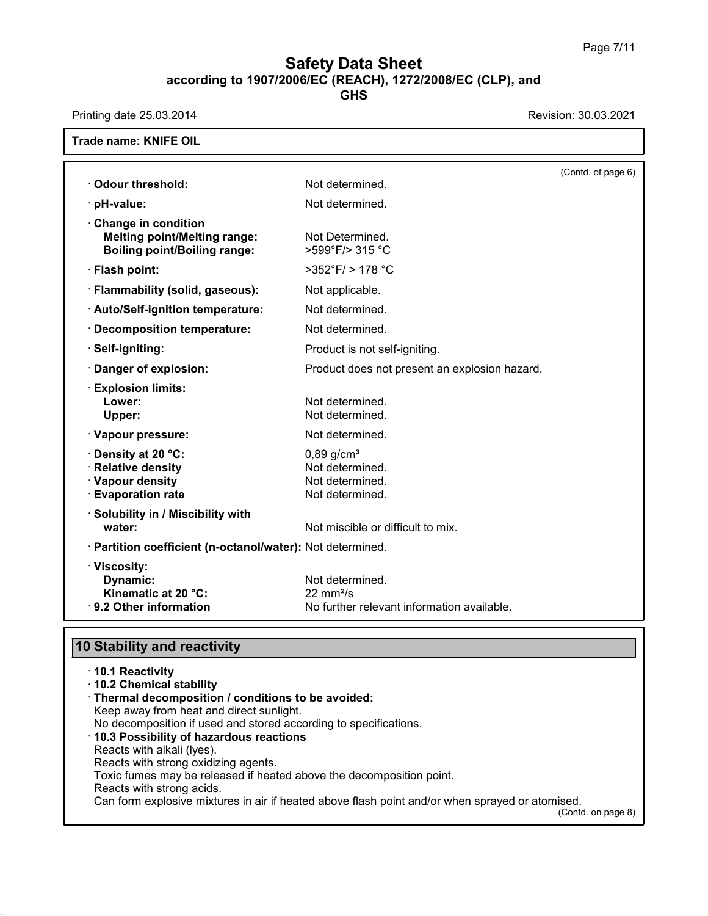# **Safety Data Sheet**<br> **according to 1907/2006/EC (REACH), 1272/2008/EC (CLP), and**<br> **GHS Safety Data Sheet**<br>according to 1907/2006/EC (REACH), 1272/2008/EC (CLP), and<br>Printing date 25.03.2014<br>Revision: 30.03.2021<br>Trade name: KNIFE OIL

**GHS**

|                                                                                                   |                                                                                       | (Contd. of page 6) |
|---------------------------------------------------------------------------------------------------|---------------------------------------------------------------------------------------|--------------------|
| Odour threshold:                                                                                  | Not determined.                                                                       |                    |
| · pH-value:                                                                                       | Not determined.                                                                       |                    |
| Change in condition<br><b>Melting point/Melting range:</b><br><b>Boiling point/Boiling range:</b> | Not Determined.<br>>599°F/> 315 °C                                                    |                    |
| · Flash point:                                                                                    | $>352^{\circ}$ F/ $> 178^{\circ}$ C                                                   |                    |
| · Flammability (solid, gaseous):                                                                  | Not applicable.                                                                       |                    |
| · Auto/Self-ignition temperature:                                                                 | Not determined.                                                                       |                    |
| · Decomposition temperature:                                                                      | Not determined.                                                                       |                    |
| · Self-igniting:                                                                                  | Product is not self-igniting.                                                         |                    |
| Danger of explosion:                                                                              | Product does not present an explosion hazard.                                         |                    |
| <b>Explosion limits:</b><br>Lower:<br>Upper:                                                      | Not determined.<br>Not determined.                                                    |                    |
| · Vapour pressure:                                                                                | Not determined.                                                                       |                    |
| <b>O</b> Density at 20 °C:<br>· Relative density<br>· Vapour density<br><b>Evaporation rate</b>   | $0,89$ g/cm <sup>3</sup><br>Not determined.<br>Not determined.<br>Not determined.     |                    |
| · Solubility in / Miscibility with                                                                | Not miscible or difficult to mix.                                                     |                    |
| water:                                                                                            |                                                                                       |                    |
| · Partition coefficient (n-octanol/water): Not determined.                                        |                                                                                       |                    |
| · Viscosity:<br>Dynamic:<br>Kinematic at 20 °C:<br>· 9.2 Other information                        | Not determined.<br>$22 \text{ mm}^2$ /s<br>No further relevant information available. |                    |

| <b>10 Stability and reactivity</b>                                   |                                                                                                 |
|----------------------------------------------------------------------|-------------------------------------------------------------------------------------------------|
|                                                                      |                                                                                                 |
| ⋅ 10.1 Reactivity                                                    |                                                                                                 |
| 10.2 Chemical stability                                              |                                                                                                 |
| Thermal decomposition / conditions to be avoided:                    |                                                                                                 |
| Keep away from heat and direct sunlight.                             |                                                                                                 |
| No decomposition if used and stored according to specifications.     |                                                                                                 |
| 10.3 Possibility of hazardous reactions                              |                                                                                                 |
| Reacts with alkali (Iyes).                                           |                                                                                                 |
| Reacts with strong oxidizing agents.                                 |                                                                                                 |
| Toxic fumes may be released if heated above the decomposition point. |                                                                                                 |
| Reacts with strong acids.                                            |                                                                                                 |
|                                                                      | Can form explosive mixtures in air if heated above flash point and/or when sprayed or atomised. |
|                                                                      | (Contd. on page 8)                                                                              |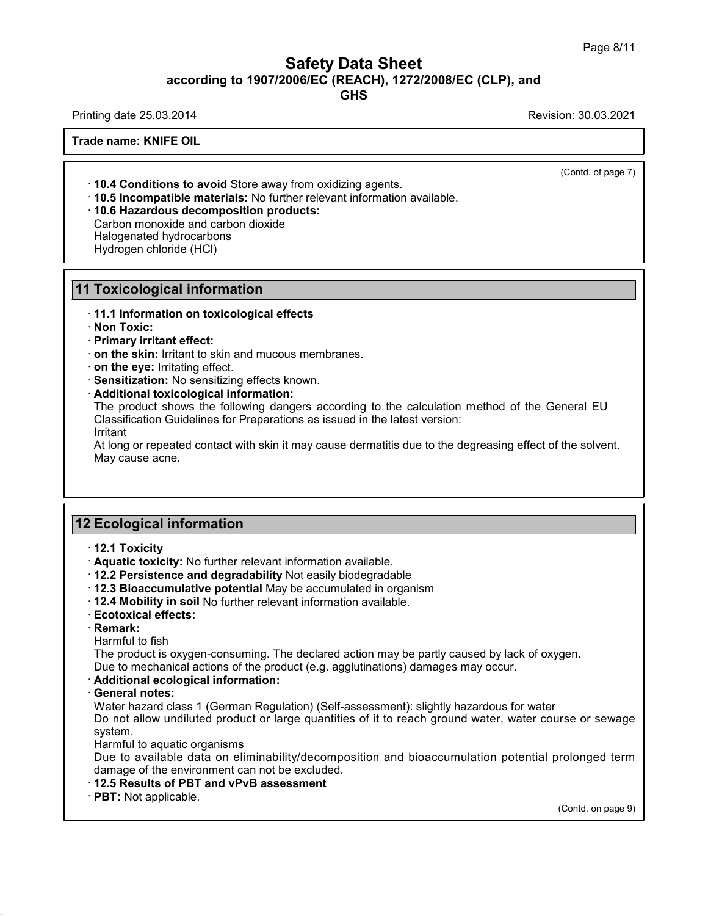# Safety Data Sheet<br><sub>006/EC (REACH), 1272/2008/EC (CLP),<br>GHS</sub> Page 8/11<br>**according to 1907/2006/EC (REACH), 1272/2008/EC (CLP), and<br>GHS<br>Revision: 30.03.2021 Safety Data Sheet**<br>
according to 1907/2006/EC (REACH), 1272/2008/EC (CLP), and<br>
Printing date 25.03.2014<br>
Revision: 30.03.2021<br>
Revision: 30.03.2021

**GHS**

**Trade name: KNIFE OIL**

· **10.4 Conditions to avoid** Store away from oxidizing agents. · **10.5 Incompatible materials:** No further relevant information available. · **10.6 Hazardous decomposition products: 10.4 Conditions to avoid** Store away from oxidiz<br>**10.5 Incompatible materials:** No further relevant<br>**10.6 Hazardous decomposition products:**<br>Carbon monoxide and carbon dioxide<br>Halogenated hydrocarbons<br>Hydrogen chloride (H **10.4 Conditions to avoid** Store aw<br>**10.5 Incompatible materials:** No f<br>**10.6 Hazardous decomposition p**<br>Carbon monoxide and carbon dioxic<br>Halogenated hydrocarbons<br>Hydrogen chloride (HCl) **10.4 Conditions to avoid** Store away<br>**10.5 Incompatible materials:** No furt<br>**10.6 Hazardous decomposition pro**<br>Carbon monoxide and carbon dioxide<br>Halogenated hydrocarbons<br>Hydrogen chloride (HCl)

**10.6 Hazardous decomposition products:**<br>Carbon monoxide and carbon dioxide<br>Halogenated hydrocarbons<br>Hydrogen chloride (HCl)<br>**11 Toxicological information**<br>11.1 Information on toxicological effects · **11.1 Information on toxicological effects**

· **Non Toxic:**

· **Primary irritant effect:**

· **on the skin:** Irritant to skin and mucous membranes.

· **on the eye:** Irritating effect.

· **Sensitization:** No sensitizing effects known.

· **Additional toxicological information:**

The product shows the following dangers according to the calculation method of the General EU Classification Guidelines for Preparations as issued in the latest version:

Irritant

At long or repeated contact with skin it may cause dermatitis due to the degreasing effect of the solvent. May cause acne. At long or repeated contact with skin it maid<br>May cause acne.<br>**12 Ecological information**<br>12.1 Toxicity

**12 Ecological information<br>
12.1 Toxicity<br>
Aquatic toxicity: No further relevant information available.<br>
12.2 Persistence and degradability Not easily biodegradable** 

**Ecological information**<br>
• **12.1 Toxicity**<br>
• **Aquatic toxicity:** No further relevant information available.<br>
• **12.2 Persistence and degradability** Not easily biodegradable<br>
• **12.4 Mobility in soil No further relevant 2 Ecological information**<br>
↑ 12.1 Toxicity<br>
↑ Aquatic toxicity: No further relevant information available.<br>
↑ 12.2 Persistence and degradability Not easily biodegradable<br>
↑ 12.3 Bioaccumulative potential May be accumulat **12.1 Toxicity**<br> **• Aquatic toxicity:** No further relevant information available.<br> **• 12.2 Persistence and degradability** Not easily biodegradable<br> **• 12.3 Bioaccumulative potential** May be accumulated in organism<br>
• **12.4** 

· **Remark:**

12.2 Persistence and degrad<br>12.3 Bioaccumulative poten<br>12.4 Mobility in soil No furthe<br>Ecotoxical effects:<br>Remark:<br>Harmful to fish<br>The product is oxygen-consun<br>Due to mechanical actions of t 12.3 Bioaccumulative potential May be accumulated in organism<br>12.4 Mobility in soil No further relevant information available.<br>Ecotoxical effects:<br>Remark:<br>Harmful to fish<br>The product is oxygen-consuming. The declared actio **Exercise to mechanical actions of the product information available.**<br> **Ecotoxical effects:**<br> **Remark:**<br>
Harmful to fish<br>
The product is oxygen-consuming. The declared action may be partly caused by lack of oxygen.<br>
Due

• **Remark:**<br> **Harmful to fish**<br> **The product is oxygen-cons**<br> **Due to mechanical actions c**<br> **Additional ecological information**<br> **General notes:**<br>
Water hazard class 1 (Germ<br>
Do not allow undiluted prod Harmful to fish<br>The product is oxygen-consuming. The declared action may be partly caused by lack of oxygen.<br>Due to mechanical actions of the product (e.g. agglutinations) damages may occur.<br>**Additional ecological informat** The product is oxygen-consuming. The declared action may be partly caused by lack of oxygen.<br>Due to mechanical actions of the product (e.g. agglutinations) damages may occur.<br>**Additional ecological information:**<br>**General n** system. Additional ecological information:<br>
General notes:<br>
Water hazard class 1 (German Regulation) (Self-assessment): slightly hazardous for water<br>
Do not allow undiluted product or large quantities of it to reach ground water, General notes:<br>Water hazard class 1 (German Regulation) (Self-assessment): slightly hazardous for water<br>Do not allow undiluted product or large quantities of it to reach ground water, water course or sewage<br>system.<br>Harmful Water hazard class 1 (German Regulation) (Self-assessm<br>Do not allow undiluted product or large quantities of it to<br>system.<br>Harmful to aquatic organisms<br>Due to available data on eliminability/decomposition a<br>damage of the e

rolonged term<br>(Contd. on page 9)

## **12.5 Results of PBT and vPvB assessment**<br>**PBT:** Not applicable.

38.0.16

(Contd. of page 7)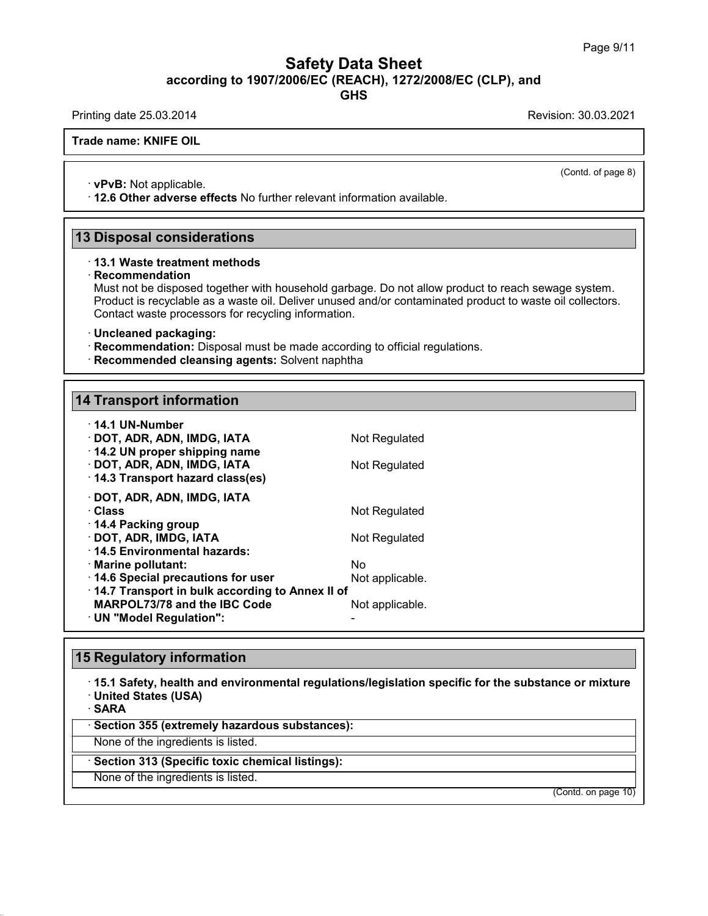# Safety Data Sheet<br><sub>006/EC (REACH), 1272/2008/EC (CLP),<br>GHS</sub> Page 9/11<br>**according to 1907/2006/EC (REACH), 1272/2008/EC (CLP), and<br>GHS<br>Revision: 30.03.2021 Safety Data Sheet**<br>
according to 1907/2006/EC (REACH), 1272/2008/EC (CLP), and<br>
Printing date 25.03.2014<br>
Revision: 30.03.2021<br>
Revision: 30.03.2021

**GHS**

**Trade name: KNIFE OIL**

 $\overline{\text{(Cond. of page 8)}}$ 

• **vPvB:** Not applicable.<br>• **vPvB:** Not applicable.<br>• 12.6 Other adverse effects No further relevant information available. **12.6 Other adverse effects** No further relevant information available.<br>
13 Disposal considerations<br>
13 Disposal considerations<br>
13.1 Waste treatment methods

## · **Recommendation**

Must not be disposed together with household garbage. Do not allow product to reach sewage system. **Disposal considerations**<br>13.1 Waste treatment methods<br>Recommendation<br>Must not be disposed together with household garbage. Do not allow product to reach sewage system.<br>Product is recyclable as a waste oil. Deliver unused **Disposal considerations**<br>13.1 Waste treatment methods<br>Recommendation<br>Must not be disposed together with household garbage. Do not allow product to reach sewage system.<br>Product is recyclable as a waste oil. Deliver unused **13.1 Waste treatment methods**<br> **Recommendation**<br>
Must not be disposed together with household garbage. Do<br>
Product is recyclable as a waste oil. Deliver unused and/or<br>
Contact waste processors for recycling information.<br> • **Recommendation:** Disposed together with household garbage. Do not allow product to reader Product is recyclable as a waste oil. Deliver unused and/or contaminated product to Contact waste processors for recycling inform

- 
- **Recommended cleansing agents:** Solvent naphtha<br>14 Transport information

| · Uncleaned packaging:<br>· Recommendation: Disposal must be made according to official regulation<br>· Recommended cleansing agents: Solvent naphtha |                       |
|-------------------------------------------------------------------------------------------------------------------------------------------------------|-----------------------|
| <b>14 Transport information</b>                                                                                                                       |                       |
|                                                                                                                                                       |                       |
| · 14.1 UN-Number<br>· DOT, ADR, ADN, IMDG, IATA<br>14.2 UN proper shipping name                                                                       | Not Regulated         |
| · DOT, ADR, ADN, IMDG, IATA<br>14.3 Transport hazard class(es)                                                                                        | Not Regulated         |
| · DOT, ADR, ADN, IMDG, IATA<br>· Class                                                                                                                | Not Regulated         |
| ⋅ 14.4 Packing group<br>· DOT, ADR, IMDG, IATA<br>⋅14.5 Environmental hazards:                                                                        | Not Regulated         |
| · Marine pollutant:<br>14.6 Special precautions for user                                                                                              | Nο<br>Not applicable. |
| 14.7 Transport in bulk according to Annex II of<br>MARPOL73/78 and the IBC Code<br>· UN "Model Regulation":                                           | Not applicable.       |
|                                                                                                                                                       |                       |
| <b>15 Regulatory information</b>                                                                                                                      |                       |
| 15.1 Safety, health and environmental regulations/legislation specific                                                                                |                       |

## **15 Regulatory information**

· **15.1 Safety, health and environmental regulations/legislation specific for the substance or mixture** • **15.1 Safety, health and environmental regulations/legeral of SARA**<br>• **SARA**<br>• **Section 355 (extremely hazardous substances):**<br>None of the ingredients is listed. None of the ingredients is listed.<br>None of the ingredients is listed.<br>None of the ingredients is listed.<br>None of the ingredients is listed.<br>None of the ingredients is listed.<br>None of the ingredients is listed.

· **SARA**

38.0.16

Sakka<br>Section 355 (extremely hazardous substar<br>None of the ingredients is listed.<br>Section 313 (Specific toxic chemical listing<br>None of the ingredients is listed.

(Contd. on page 10)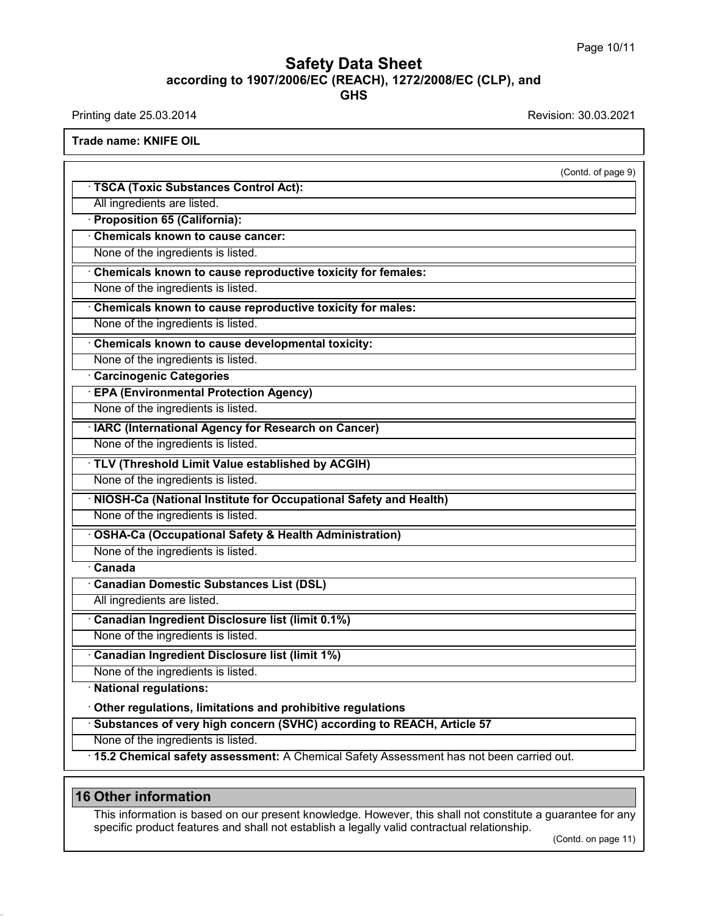# **Safety Data Sheet**<br> **according to 1907/2006/EC (REACH), 1272/2008/EC (CLP), and**<br> **GHS GHS Safety Data Sheet**<br>according to 1907/2006/EC (REACH), 1272/2008/EC (CLP), and<br>Printing date 25.03.2014<br>Revision: 30.03.2021<br>Trade name: KNIFE OIL

| $1.101019$ acto 20.00.2017                                                                                 |                     |
|------------------------------------------------------------------------------------------------------------|---------------------|
| <b>Trade name: KNIFE OIL</b>                                                                               |                     |
|                                                                                                            | (Contd. of page 9)  |
| · TSCA (Toxic Substances Control Act):                                                                     |                     |
| All ingredients are listed.                                                                                |                     |
| <b>Proposition 65 (California):</b>                                                                        |                     |
| <b>Chemicals known to cause cancer:</b>                                                                    |                     |
| None of the ingredients is listed.                                                                         |                     |
| Chemicals known to cause reproductive toxicity for females:                                                |                     |
| None of the ingredients is listed.                                                                         |                     |
| Chemicals known to cause reproductive toxicity for males:                                                  |                     |
| None of the ingredients is listed.                                                                         |                     |
| Chemicals known to cause developmental toxicity:                                                           |                     |
| None of the ingredients is listed.                                                                         |                     |
| <b>Carcinogenic Categories</b>                                                                             |                     |
| <b>EPA (Environmental Protection Agency)</b>                                                               |                     |
| None of the ingredients is listed.                                                                         |                     |
| <b>IARC (International Agency for Research on Cancer)</b>                                                  |                     |
| None of the ingredients is listed.                                                                         |                     |
| · TLV (Threshold Limit Value established by ACGIH)                                                         |                     |
| None of the ingredients is listed.                                                                         |                     |
| NIOSH-Ca (National Institute for Occupational Safety and Health)                                           |                     |
| None of the ingredients is listed.                                                                         |                     |
| <b>OSHA-Ca (Occupational Safety &amp; Health Administration)</b>                                           |                     |
| None of the ingredients is listed.                                                                         |                     |
| $\overline{\cdot}$ Canada                                                                                  |                     |
| <b>Canadian Domestic Substances List (DSL)</b>                                                             |                     |
| All ingredients are listed.                                                                                |                     |
| Canadian Ingredient Disclosure list (limit 0.1%)                                                           |                     |
| None of the ingredients is listed.                                                                         |                     |
| <b>Canadian Ingredient Disclosure list (limit 1%)</b>                                                      |                     |
| None of the ingredients is listed.                                                                         |                     |
| · National regulations:                                                                                    |                     |
| Other regulations, limitations and prohibitive regulations                                                 |                     |
| · Substances of very high concern (SVHC) according to REACH, Article 57                                    |                     |
| None of the ingredients is listed.                                                                         |                     |
| · 15.2 Chemical safety assessment: A Chemical Safety Assessment has not been carried out.                  |                     |
|                                                                                                            |                     |
| <b>16 Other information</b>                                                                                |                     |
| This information is based on our present knowledge. However, this shall not constitute a guarantee for any |                     |
| specific product features and shall not establish a legally valid contractual relationship.                |                     |
|                                                                                                            | (Contd. on page 11) |
|                                                                                                            |                     |